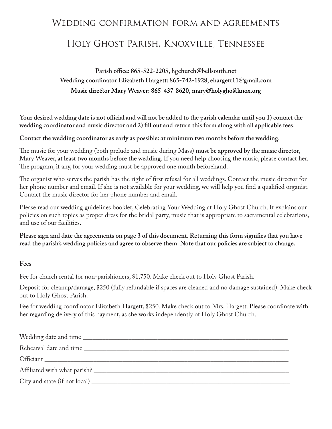# Wedding confirmation form and agreements

# Holy Ghost Parish, Knoxville, Tennessee

**Parish office: 865-522-2205, hgchurch@bellsouth.net Wedding coordinator Elizabeth Hargett: 865-742-1928, ehargett11@gmail.com Music director Mary Weaver: 865-437-8620, mary@holyghostknox.org**

**Your desired wedding date is not official and will not be added to the parish calendar until you 1) contact the wedding coordinator and music director and 2) fill out and return this form along with all applicable fees.**

**Contact the wedding coordinator as early as possible: at minimum two months before the wedding.** 

The music for your wedding (both prelude and music during Mass) **must be approved by the music director**, Mary Weaver, **at least two months before the wedding**. If you need help choosing the music, please contact her. The program, if any, for your wedding must be approved one month beforehand.

The organist who serves the parish has the right of first refusal for all weddings. Contact the music director for her phone number and email. If she is not available for your wedding, we will help you find a qualified organist. Contact the music director for her phone number and email.

Please read our wedding guidelines booklet, Celebrating Your Wedding at Holy Ghost Church. It explains our policies on such topics as proper dress for the bridal party, music that is appropriate to sacramental celebrations, and use of our facilities.

**Please sign and date the agreements on page 3 of this document. Returning this form signifies that you have read the parish's wedding policies and agree to observe them. Note that our policies are subject to change.**

#### **Fees**

Fee for church rental for non-parishioners, \$1,750. Make check out to Holy Ghost Parish.

Deposit for cleanup/damage, \$250 (fully refundable if spaces are cleaned and no damage sustained). Make check out to Holy Ghost Parish.

Fee for wedding coordinator Elizabeth Hargett, \$250. Make check out to Mrs. Hargett. Please coordinate with her regarding delivery of this payment, as she works independently of Holy Ghost Church.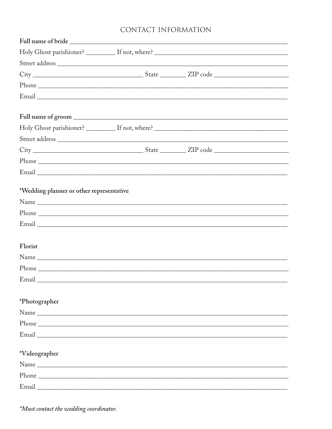## CONTACT INFORMATION

| *Wedding planner or other representative |  |  |
|------------------------------------------|--|--|
|                                          |  |  |
|                                          |  |  |
| Florist                                  |  |  |
|                                          |  |  |
|                                          |  |  |
| Email                                    |  |  |
| *Photographer                            |  |  |
| Name                                     |  |  |
|                                          |  |  |
|                                          |  |  |
| *Videographer                            |  |  |
|                                          |  |  |
|                                          |  |  |
|                                          |  |  |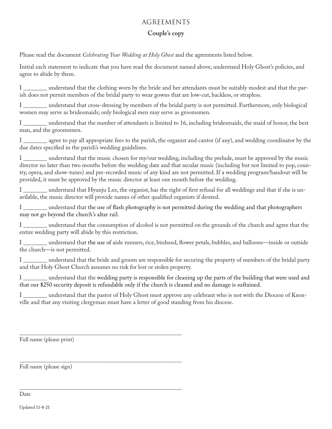#### AGREEMENTS

#### **Couple's copy**

Please read the document *Celebrating Your Wedding at Holy Ghost* and the agreements listed below.

Initial each statement to indicate that you have read the document named above, understand Holy Ghost's policies, and agree to abide by them.

I \_\_\_\_\_\_\_\_ understand that the clothing worn by the bride and her attendants must be suitably modest and that the parish does not permit members of the bridal party to wear gowns that are low-cut, backless, or strapless.

I \_\_\_\_\_\_\_\_ understand that cross-dressing by members of the bridal party is not permitted. Furthermore, only biological women may serve as bridesmaids; only biological men may serve as groomsmen.

I \_\_\_\_\_\_\_\_ understand that the number of attendants is limited to 16, including bridesmaids, the maid of honor, the best man, and the groomsmen.

I \_\_\_\_\_\_ agree to pay all appropriate fees to the parish, the organist and cantor (if any), and wedding coordinator by the due dates specified in the parish's wedding guidelines.

I \_\_\_\_\_\_\_\_ understand that the music chosen for my/our wedding, including the prelude, must be approved by the music director no later than two months before the wedding date and that secular music (including but not limited to pop, country, opera, and show-tunes) and pre-recorded music of any kind are not permitted. If a wedding program/handout will be provided, it must be approved by the music director at least one month before the wedding.

I \_\_\_\_\_\_\_\_ understand that Hyunju Lee, the organist, has the right of first refusal for all weddings and that if she is unavilable, the music director will provide names of other qualified organists if desired.

I \_\_\_\_\_\_\_\_ understand that the use of flash photography is not permitted during the wedding and that photographers may not go beyond the church's altar rail.

I \_\_\_\_\_\_\_\_ understand that the consumption of alcohol is not permitted on the grounds of the church and agree that the entire wedding party will abide by this restriction.

I \_\_\_\_\_\_\_\_ understand that the use of aisle runners, rice, birdseed, flower petals, bubbles, and balloons—inside or outside the church—is not permitted.

I \_\_\_\_\_\_\_\_ understand that the bride and groom are responsible for securing the property of members of the bridal party and that Holy Ghost Church assumes no risk for lost or stolen property.

I \_\_\_\_\_\_\_\_ understand that the wedding party is responsible for cleaning up the parts of the building that were used and that our \$250 security deposit is refundable only if the church is cleaned and no damage is sustained.

I \_\_\_\_\_\_\_\_ understand that the pastor of Holy Ghost must approve any celebrant who is not with the Diocese of Knoxville and that any visiting clergyman must have a letter of good standing from his diocese.

\_\_\_\_\_\_\_\_\_\_\_\_\_\_\_\_\_\_\_\_\_\_\_\_\_\_\_\_\_\_\_\_\_\_\_\_\_\_\_\_\_\_\_\_\_\_\_\_\_\_\_\_\_\_\_\_\_ Full name (please print)

\_\_\_\_\_\_\_\_\_\_\_\_\_\_\_\_\_\_\_\_\_\_\_\_\_\_\_\_\_\_\_\_\_\_\_\_\_\_\_\_\_\_\_\_\_\_\_\_\_\_\_\_\_\_\_\_\_ Full name (please sign)

\_\_\_\_\_\_\_\_\_\_\_\_\_\_\_\_\_\_\_\_\_\_\_\_\_\_\_\_\_\_\_\_\_\_\_\_\_\_\_\_\_\_\_\_\_\_\_\_\_\_\_\_\_\_\_\_\_ Date

Updated 11-8-21